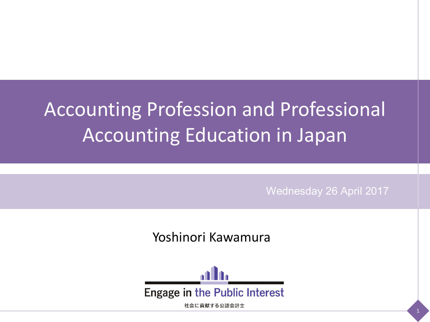# Accounting Profession and Professional Accounting Education in Japan

Wednesday 26 April 2017

Yoshinori Kawamura



社会に貢献する公認会計士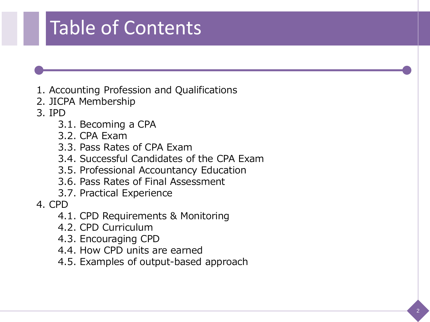## Table of Contents

- 1. Accounting Profession and Qualifications
- 2. JICPA Membership
- 3. IPD
	- 3.1. Becoming a CPA
	- 3.2. CPA Exam
	- 3.3. Pass Rates of CPA Exam
	- 3.4. Successful Candidates of the CPA Exam
	- 3.5. Professional Accountancy Education
	- 3.6. Pass Rates of Final Assessment
	- 3.7. Practical Experience
- 4. CPD
	- 4.1. CPD Requirements & Monitoring
	- 4.2. CPD Curriculum
	- 4.3. Encouraging CPD
	- 4.4. How CPD units are earned
	- 4.5. Examples of output-based approach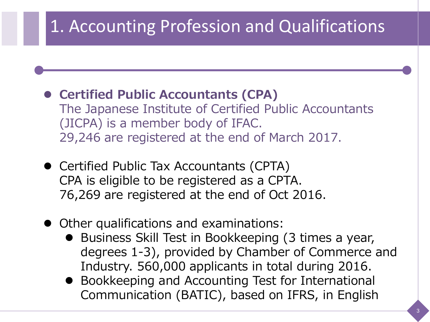#### 1. Accounting Profession and Qualifications

- **Certified Public Accountants (CPA)** The Japanese Institute of Certified Public Accountants (JICPA) is a member body of IFAC. 29,246 are registered at the end of March 2017.
- Certified Public Tax Accountants (CPTA) CPA is eligible to be registered as a CPTA. 76,269 are registered at the end of Oct 2016.
- Other qualifications and examinations:
	- Business Skill Test in Bookkeeping (3 times a year, degrees 1-3), provided by Chamber of Commerce and Industry. 560,000 applicants in total during 2016.
	- Bookkeeping and Accounting Test for International Communication (BATIC), based on IFRS, in English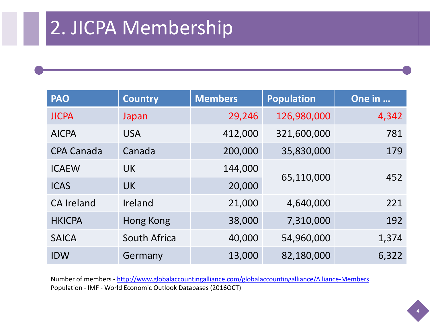## 2. JICPA Membership

| <b>PAO</b>        | <b>Country</b> | <b>Members</b> | <b>Population</b> | One in |
|-------------------|----------------|----------------|-------------------|--------|
| <b>JICPA</b>      | Japan          | 29,246         | 126,980,000       | 4,342  |
| <b>AICPA</b>      | <b>USA</b>     | 412,000        | 321,600,000       | 781    |
| <b>CPA Canada</b> | Canada         | 200,000        | 35,830,000        | 179    |
| <b>ICAEW</b>      | <b>UK</b>      | 144,000        |                   | 452    |
| <b>ICAS</b>       | <b>UK</b>      | 20,000         | 65,110,000        |        |
| <b>CA Ireland</b> | Ireland        | 21,000         | 4,640,000         | 221    |
| <b>HKICPA</b>     | Hong Kong      | 38,000         | 7,310,000         | 192    |
| <b>SAICA</b>      | South Africa   | 40,000         | 54,960,000        | 1,374  |
| <b>IDW</b>        | Germany        | 13,000         | 82,180,000        | 6,322  |

Number of members - <http://www.globalaccountingalliance.com/globalaccountingalliance/Alliance-Members> Population - IMF - World Economic Outlook Databases (2016OCT)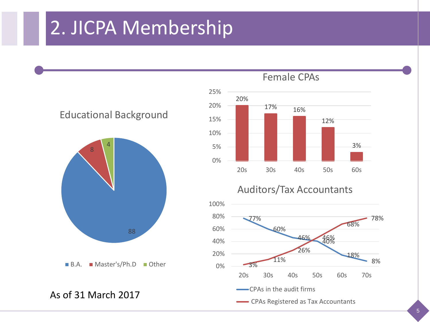#### 2. JICPA Membership





As of 31 March 2017



#### Auditors/Tax Accountants

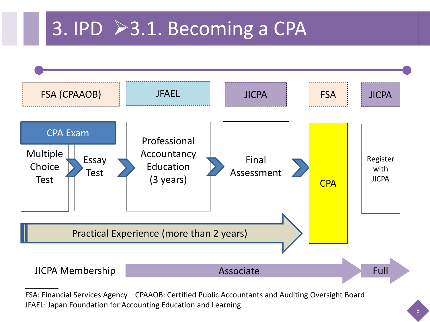# 3. IPD >3.1. Becoming a CPA

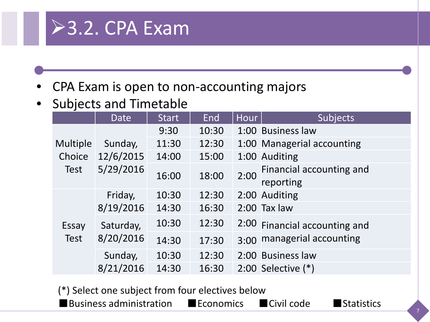

• CPA Exam is open to non-accounting majors

• Subjects and Timetable

|                                   | Date                              | <b>Start</b> | End   | Hour | <b>Subjects</b>               |
|-----------------------------------|-----------------------------------|--------------|-------|------|-------------------------------|
| Multiple<br>Choice<br><b>Test</b> | Sunday,<br>12/6/2015<br>5/29/2016 | 9:30         | 10:30 |      | 1:00 Business law             |
|                                   |                                   | 11:30        | 12:30 |      | 1:00 Managerial accounting    |
|                                   |                                   | 14:00        | 15:00 |      | 1:00 Auditing                 |
|                                   |                                   | 16:00        | 18:00 | 2:00 | Financial accounting and      |
|                                   |                                   |              |       |      | reporting                     |
| Essay<br><b>Test</b>              | Friday,<br>8/19/2016              | 10:30        | 12:30 |      | 2:00 Auditing                 |
|                                   |                                   | 14:30        | 16:30 |      | $2:00$ Tax law                |
|                                   | Saturday,<br>8/20/2016            | 10:30        | 12:30 |      | 2:00 Financial accounting and |
|                                   |                                   | 14:30        | 17:30 | 3:00 | managerial accounting         |
|                                   | Sunday,                           | 10:30        | 12:30 |      | 2:00 Business law             |
|                                   | 8/21/2016                         | 14:30        | 16:30 |      | 2:00 Selective $(*)$          |

(\*) Select one subject from four electives below

■Business administration ■Economics ■Civil code ■Statistics

7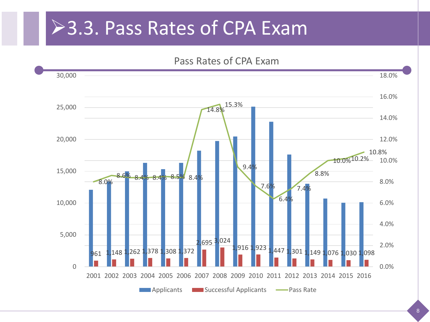#### **≻3.3. Pass Rates of CPA Exam**

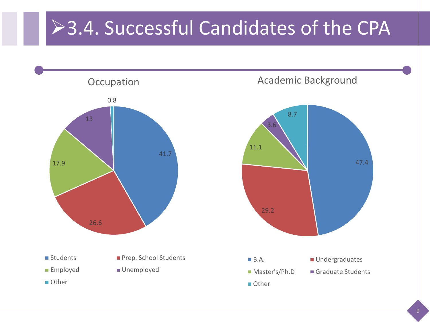# ▶3.4. Successful Candidates of the CPA

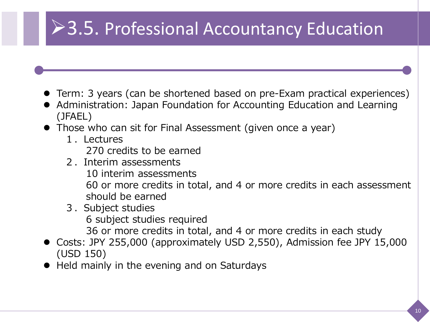## ▶ 3.5. Professional Accountancy Education

- Term: 3 years (can be shortened based on pre-Exam practical experiences)
- Administration: Japan Foundation for Accounting Education and Learning (JFAEL)
- Those who can sit for Final Assessment (given once a year)
	- 1.Lectures 270 credits to be earned
	- 2.Interim assessments 10 interim assessments 60 or more credits in total, and 4 or more credits in each assessment should be earned
	- 3.Subject studies 6 subject studies required 36 or more credits in total, and 4 or more credits in each study
- Costs: JPY 255,000 (approximately USD 2,550), Admission fee JPY 15,000 (USD 150)
- Held mainly in the evening and on Saturdays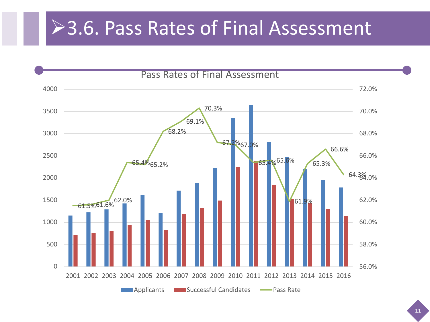### >3.6. Pass Rates of Final Assessment

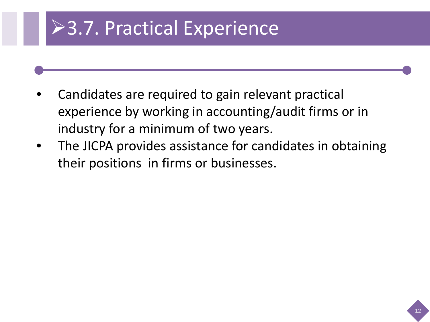# **>3.7. Practical Experience**

- Candidates are required to gain relevant practical experience by working in accounting/audit firms or in industry for a minimum of two years.
- The JICPA provides assistance for candidates in obtaining their positions in firms or businesses.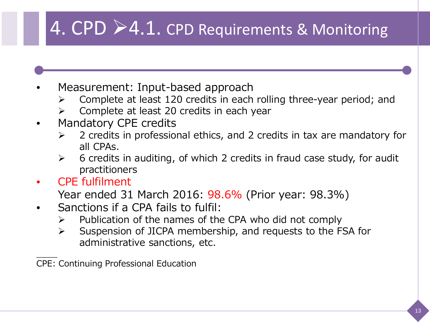## 4. CPD >4.1. CPD Requirements & Monitoring

- Measurement: Input-based approach
	- Complete at least 120 credits in each rolling three-year period; and
	- Complete at least 20 credits in each year
- Mandatory CPE credits
	- $\geq$  2 credits in professional ethics, and 2 credits in tax are mandatory for all CPAs.
	- $\triangleright$  6 credits in auditing, of which 2 credits in fraud case study, for audit practitioners
- CPE fulfilment

Year ended 31 March 2016: 98.6% (Prior year: 98.3%)

- Sanctions if a CPA fails to fulfil:
	- $\triangleright$  Publication of the names of the CPA who did not comply
	- $\triangleright$  Suspension of JICPA membership, and requests to the FSA for administrative sanctions, etc.

\_\_\_\_ CPE: Continuing Professional Education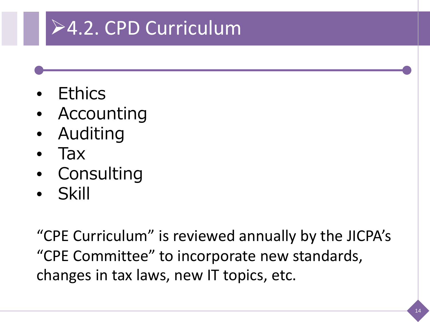# 4.2. CPD Curriculum

- Ethics
- **Accounting**
- Auditing
- Tax
- Consulting
- Skill

"CPE Curriculum" is reviewed annually by the JICPA's "CPE Committee" to incorporate new standards, changes in tax laws, new IT topics, etc.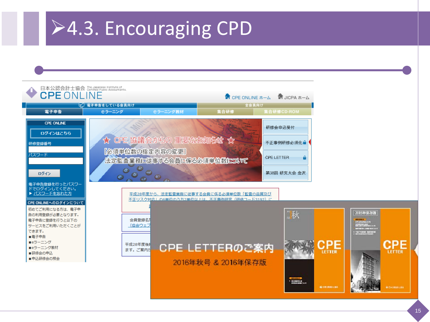#### 4.3. Encouraging CPD

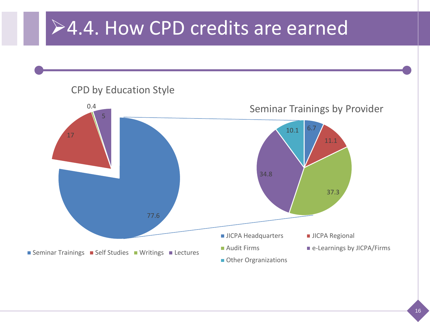#### **≻4.4. How CPD credits are earned**

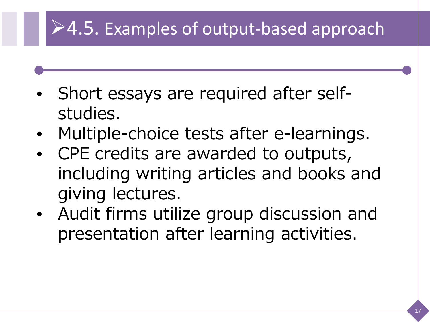## $\geq 4.5$ . Examples of output-based approach

- Short essays are required after selfstudies.
- Multiple-choice tests after e-learnings.
- CPE credits are awarded to outputs, including writing articles and books and giving lectures.
- Audit firms utilize group discussion and presentation after learning activities.